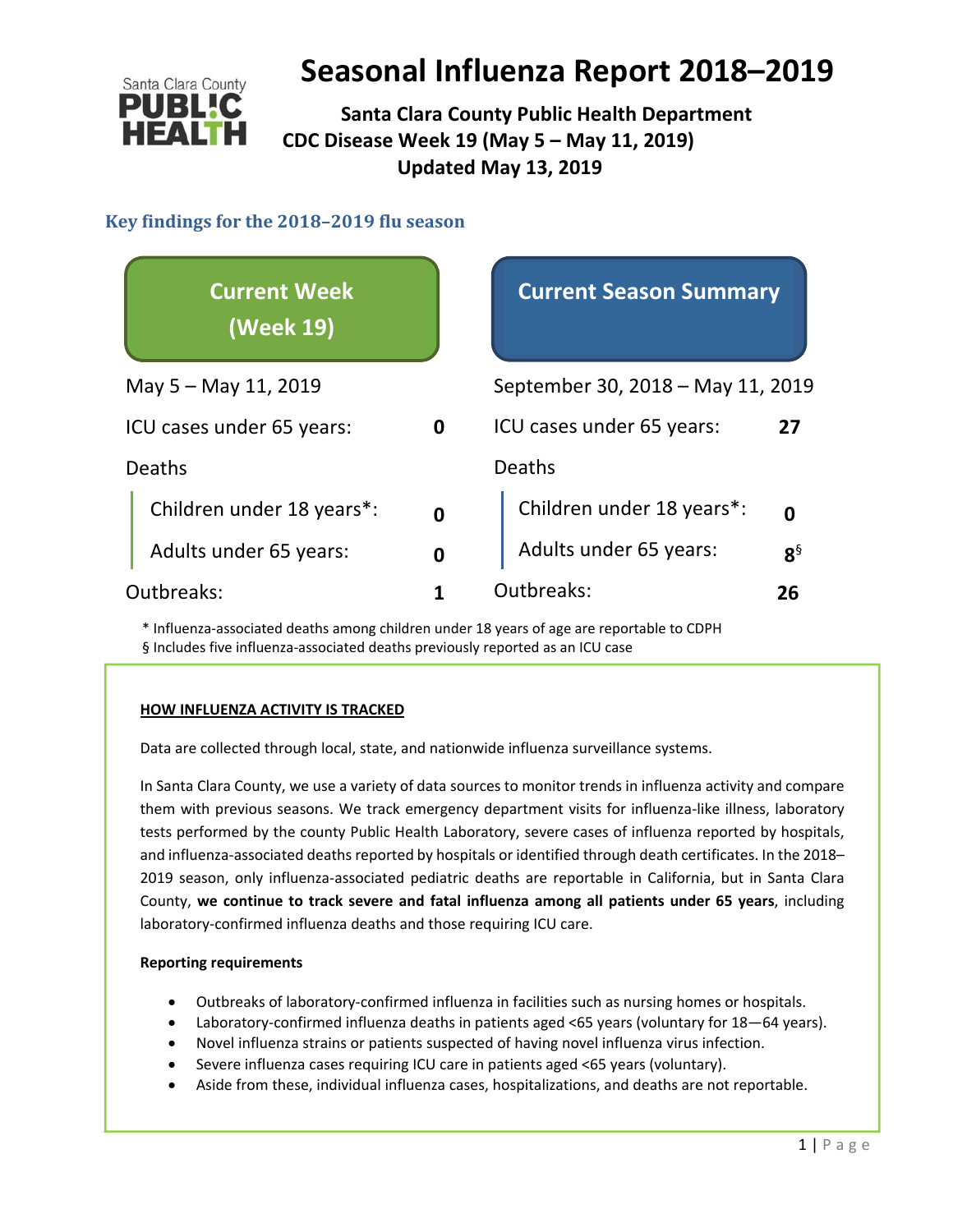

 **Santa Clara County Public Health Department CDC Disease Week 19 (May 5 – May 11, 2019) Updated May 13, 2019**

#### **Key findings for the 2018–2019 flu season**

| <b>Current Week</b><br>(Week 19) |             | <b>Current Season Summary</b>     |          |  |
|----------------------------------|-------------|-----------------------------------|----------|--|
| May 5 – May 11, 2019             |             | September 30, 2018 - May 11, 2019 |          |  |
| ICU cases under 65 years:<br>0   |             | ICU cases under 65 years:<br>27   |          |  |
| <b>Deaths</b>                    |             | Deaths                            |          |  |
| Children under 18 years*:        | $\mathbf 0$ | Children under 18 years*:         | ŋ        |  |
| Adults under 65 years:           | 0           | Adults under 65 years:            | $8^{\S}$ |  |
| Outbreaks:                       |             | Outbreaks:                        | 26       |  |

\* Influenza‐associated deaths among children under 18 years of age are reportable to CDPH § Includes five influenza‐associated deaths previously reported as an ICU case

#### **HOW INFLUENZA ACTIVITY IS TRACKED**

Data are collected through local, state, and nationwide influenza surveillance systems.

In Santa Clara County, we use a variety of data sources to monitor trends in influenza activity and compare them with previous seasons. We track emergency department visits for influenza‐like illness, laboratory tests performed by the county Public Health Laboratory, severe cases of influenza reported by hospitals, and influenza-associated deaths reported by hospitals or identified through death certificates. In the 2018– 2019 season, only influenza‐associated pediatric deaths are reportable in California, but in Santa Clara County, **we continue to track severe and fatal influenza among all patients under 65 years**, including laboratory‐confirmed influenza deaths and those requiring ICU care.

#### **Reporting requirements**

- Outbreaks of laboratory‐confirmed influenza in facilities such as nursing homes or hospitals.
- Laboratory‐confirmed influenza deaths in patients aged <65 years (voluntary for 18—64 years).
- Novel influenza strains or patients suspected of having novel influenza virus infection.
- Severe influenza cases requiring ICU care in patients aged <65 years (voluntary).
- Aside from these, individual influenza cases, hospitalizations, and deaths are not reportable.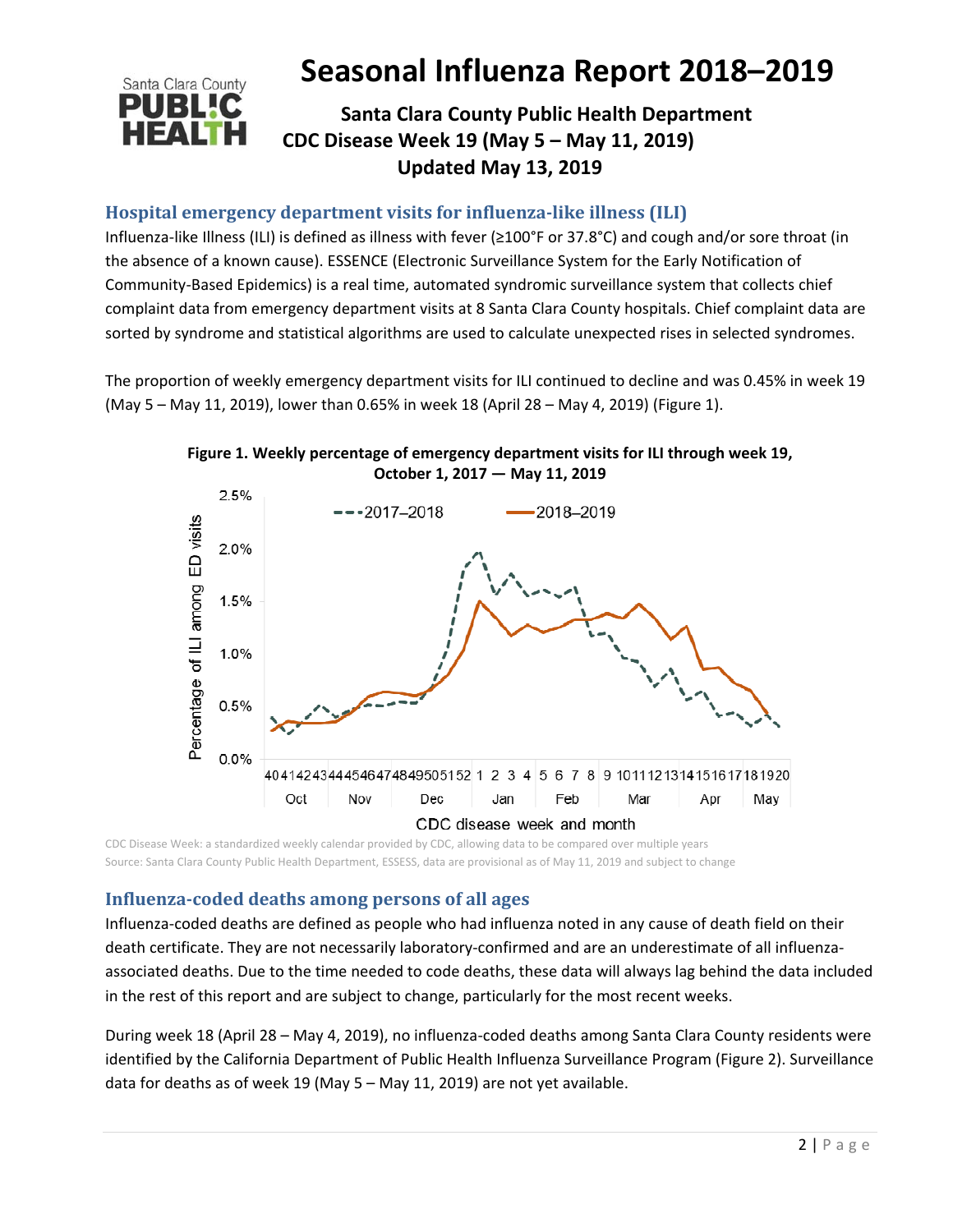# Santa Clara County

# **Seasonal Influenza Report 2018–2019**

# **Santa Clara County Public Health Department CDC Disease Week 19 (May 5 – May 11, 2019) Updated May 13, 2019**

## **Hospital emergency department visits for influenza‐like illness (ILI)**

Influenza‐like Illness (ILI) is defined as illness with fever (≥100°F or 37.8°C) and cough and/or sore throat (in the absence of a known cause). ESSENCE (Electronic Surveillance System for the Early Notification of Community‐Based Epidemics) is a real time, automated syndromic surveillance system that collects chief complaint data from emergency department visits at 8 Santa Clara County hospitals. Chief complaint data are sorted by syndrome and statistical algorithms are used to calculate unexpected rises in selected syndromes.

The proportion of weekly emergency department visits for ILI continued to decline and was 0.45% in week 19 (May 5 – May 11, 2019), lower than 0.65% in week 18 (April 28 – May 4, 2019) (Figure 1).



**Figure 1. Weekly percentage of emergency department visits for ILI through week 19,**

CDC Disease Week: a standardized weekly calendar provided by CDC, allowing data to be compared over multiple years Source: Santa Clara County Public Health Department, ESSESS, data are provisional as of May 11, 2019 and subject to change

## **Influenza‐coded deaths among persons of all ages**

Influenza‐coded deaths are defined as people who had influenza noted in any cause of death field on their death certificate. They are not necessarily laboratory-confirmed and are an underestimate of all influenzaassociated deaths. Due to the time needed to code deaths, these data will always lag behind the data included in the rest of this report and are subject to change, particularly for the most recent weeks.

During week 18 (April 28 – May 4, 2019), no influenza‐coded deaths among Santa Clara County residents were identified by the California Department of Public Health Influenza Surveillance Program (Figure 2). Surveillance data for deaths as of week 19 (May 5 – May 11, 2019) are not yet available.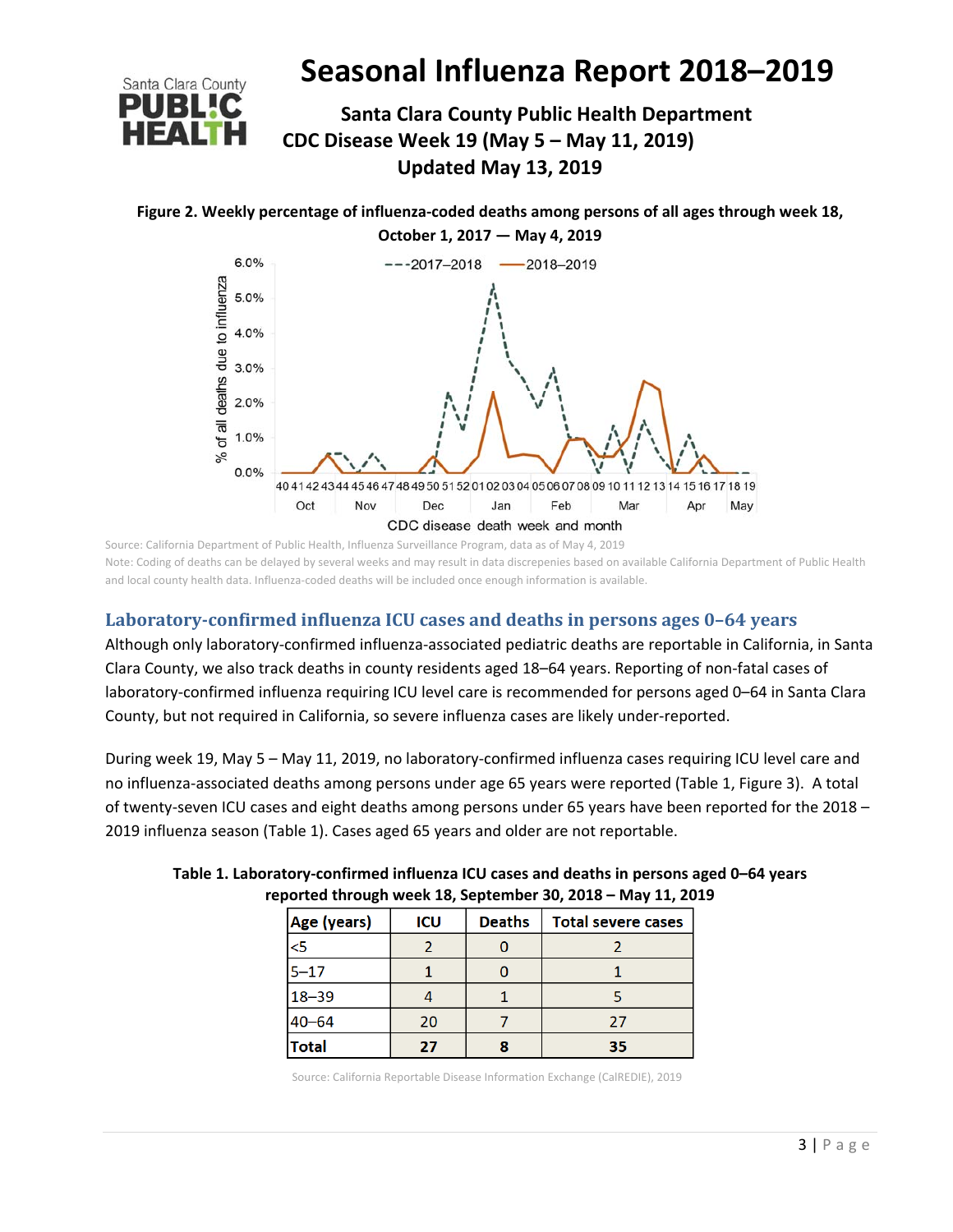

# **Santa Clara County Public Health Department CDC Disease Week 19 (May 5 – May 11, 2019) Updated May 13, 2019**

**Figure 2. Weekly percentage of influenza‐coded deaths among persons of all ages through week 18,** 

**October 1, 2017 — May 4, 2019** 6.0%  $--2017-2018$  $-2018 - 2019$ of all deaths due to influenza 5.0% 4.0% 3.0%  $2.0%$ 1.0%  $\frac{5}{6}$  $0.0%$ 40 41 42 43 44 45 46 47 48 49 50 51 52 01 02 03 04 05 06 07 08 09 10 11 12 13 14 15 16 17 18 19 Oct Nov Dec Jan Feb Mar Apr May CDC disease death week and month

Source: California Department of Public Health, Influenza Surveillance Program, data as of May 4, 2019 Note: Coding of deaths can be delayed by several weeks and may result in data discrepenies based on available California Department of Public Health and local county health data. Influenza-coded deaths will be included once enough information is available.

## **Laboratory‐confirmed influenza ICU cases and deaths in persons ages 0–64 years**

Although only laboratory‐confirmed influenza‐associated pediatric deaths are reportable in California, in Santa Clara County, we also track deaths in county residents aged 18–64 years. Reporting of non‐fatal cases of laboratory-confirmed influenza requiring ICU level care is recommended for persons aged 0-64 in Santa Clara County, but not required in California, so severe influenza cases are likely under‐reported.

During week 19, May 5 – May 11, 2019, no laboratory‐confirmed influenza cases requiring ICU level care and no influenza‐associated deaths among persons under age 65 years were reported (Table 1, Figure 3). A total of twenty-seven ICU cases and eight deaths among persons under 65 years have been reported for the 2018 – 2019 influenza season (Table 1). Cases aged 65 years and older are not reportable.

| . .          |     |               |                           |  |  |
|--------------|-----|---------------|---------------------------|--|--|
| Age (years)  | ICU | <b>Deaths</b> | <b>Total severe cases</b> |  |  |
| 5<           |     |               |                           |  |  |
| $5 - 17$     |     |               |                           |  |  |
| $18 - 39$    |     |               |                           |  |  |
| $40 - 64$    | 20  |               | 27                        |  |  |
| <b>Total</b> | 27  |               | 35                        |  |  |

#### **Table 1. Laboratory‐confirmed influenza ICU cases and deaths in persons aged 0–64 years reported through week 18, September 30, 2018 – May 11, 2019**

Source: California Reportable Disease Information Exchange (CalREDIE), 2019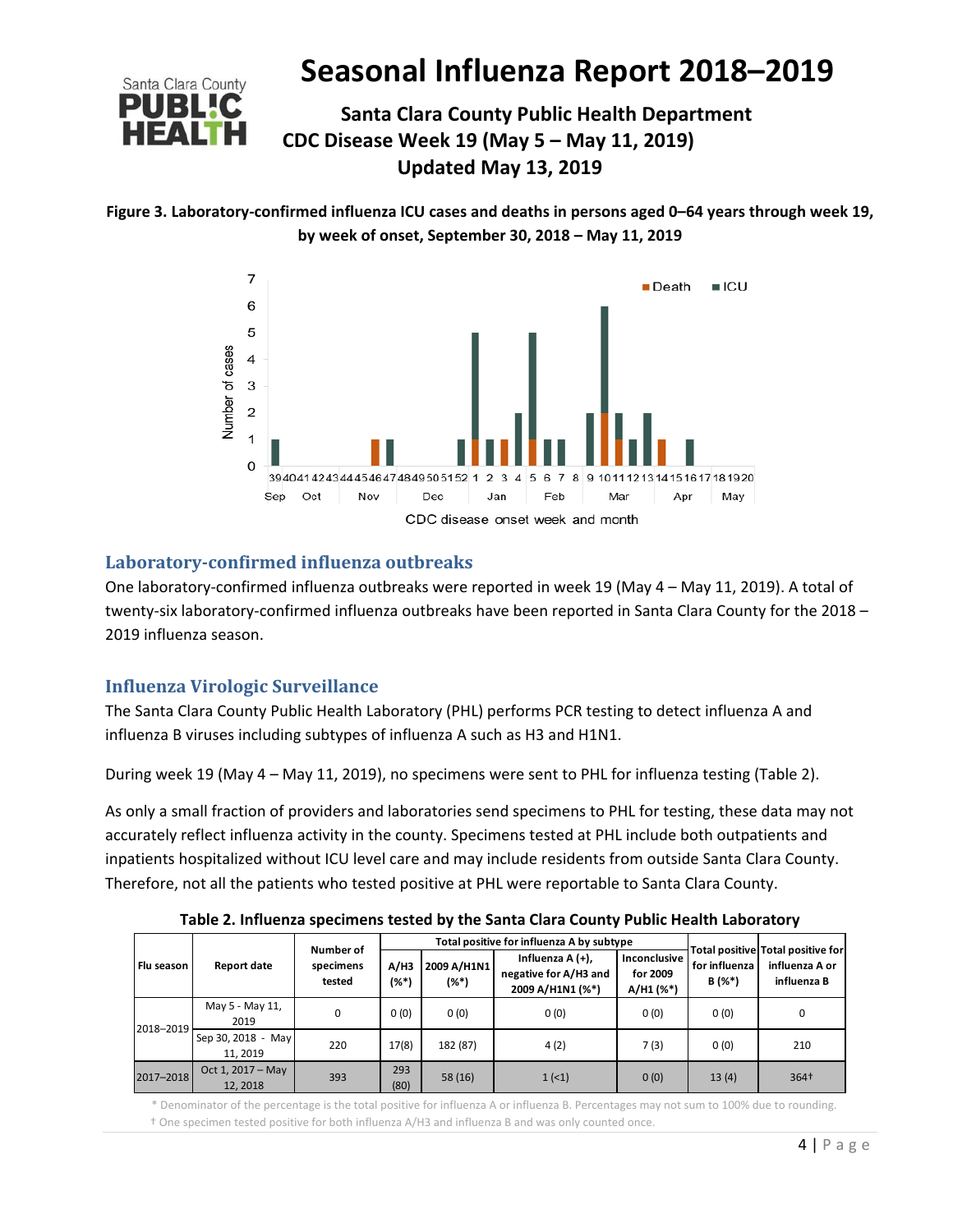

# **Santa Clara County Public Health Department CDC Disease Week 19 (May 5 – May 11, 2019) Updated May 13, 2019**





#### **Laboratory‐confirmed influenza outbreaks**

One laboratory‐confirmed influenza outbreaks were reported in week 19 (May 4 – May 11, 2019). A total of twenty‐six laboratory‐confirmed influenza outbreaks have been reported in Santa Clara County for the 2018 – 2019 influenza season.

## **Influenza Virologic Surveillance**

The Santa Clara County Public Health Laboratory (PHL) performs PCR testing to detect influenza A and influenza B viruses including subtypes of influenza A such as H3 and H1N1.

During week 19 (May 4 – May 11, 2019), no specimens were sent to PHL for influenza testing (Table 2).

As only a small fraction of providers and laboratories send specimens to PHL for testing, these data may not accurately reflect influenza activity in the county. Specimens tested at PHL include both outpatients and inpatients hospitalized without ICU level care and may include residents from outside Santa Clara County. Therefore, not all the patients who tested positive at PHL were reportable to Santa Clara County.

| Flu season | <b>Report date</b>             | Number of<br>specimens<br>tested | Total positive for influenza A by subtype |                        |                                                               |                                         |                           |                                                                    |
|------------|--------------------------------|----------------------------------|-------------------------------------------|------------------------|---------------------------------------------------------------|-----------------------------------------|---------------------------|--------------------------------------------------------------------|
|            |                                |                                  | A/H3<br>$($ %*)                           | 2009 A/H1N1<br>$(%^*)$ | Influenza A (+),<br>negative for A/H3 and<br>2009 A/H1N1 (%*) | Inconclusive<br>for 2009<br>$A/H1$ (%*) | for influenza<br>$B(%^*)$ | Total positive Total positive for<br>influenza A or<br>influenza B |
| 2018-2019  | May 5 - May 11,<br>2019        | 0                                | 0(0)                                      | 0(0)                   | 0(0)                                                          | 0(0)                                    | 0(0)                      | 0                                                                  |
|            | Sep 30, 2018 - May<br>11.2019  | 220                              | 17(8)                                     | 182 (87)               | 4(2)                                                          | 7(3)                                    | 0(0)                      | 210                                                                |
| 2017-2018  | Oct 1, $2017 - May$<br>12.2018 | 393                              | 293<br>(80)                               | 58(16)                 | 1(1)                                                          | 0(0)                                    | 13(4)                     | 364+                                                               |

**Table 2. Influenza specimens tested by the Santa Clara County Public Health Laboratory**

 \* Denominator of the percentage is the total positive for influenza A or influenza B. Percentages may not sum to 100% due to rounding. † One specimen tested positive for both influenza A/H3 and influenza B and was only counted once.